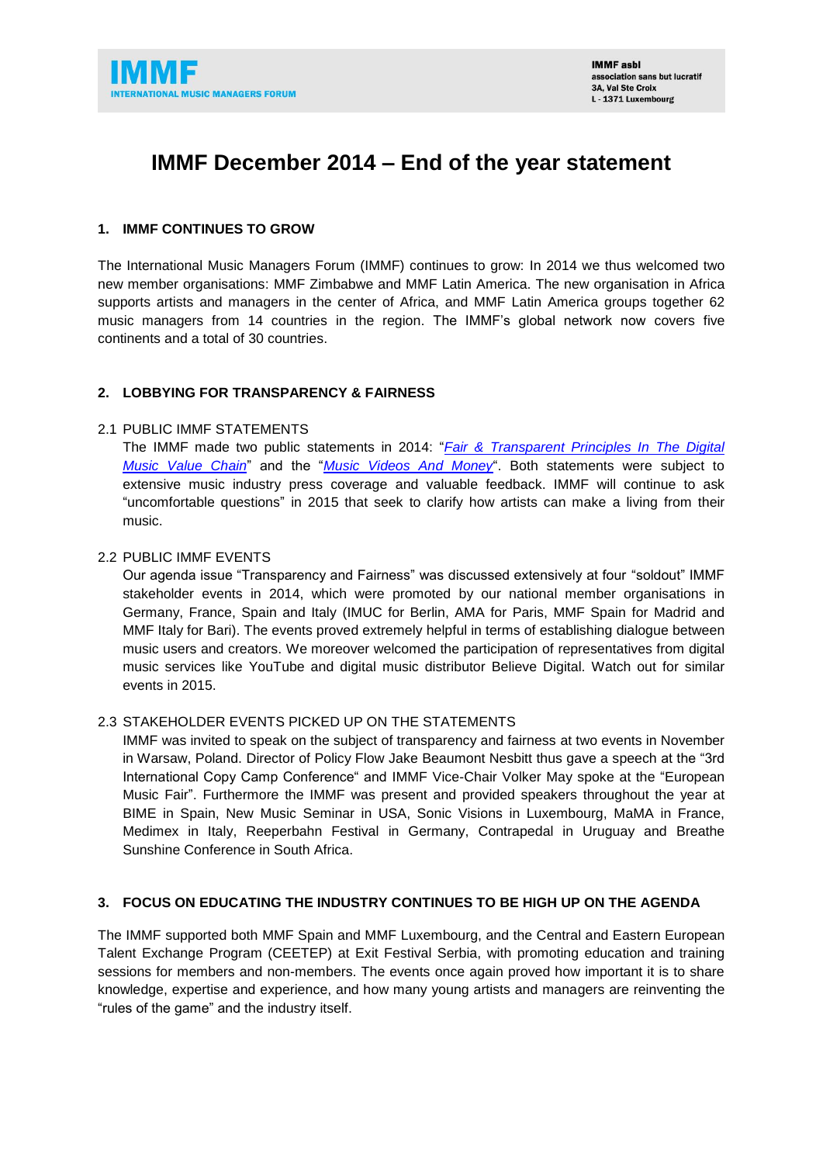

# **IMMF December 2014 – End of the year statement**

## **1. IMMF CONTINUES TO GROW**

The International Music Managers Forum (IMMF) continues to grow: In 2014 we thus welcomed two new member organisations: MMF Zimbabwe and MMF Latin America. The new organisation in Africa supports artists and managers in the center of Africa, and MMF Latin America groups together 62 music managers from 14 countries in the region. The IMMF's global network now covers five continents and a total of 30 countries.

# **2. LOBBYING FOR TRANSPARENCY & FAIRNESS**

## 2.1 PUBLIC IMMF STATEMENTS

The IMMF made two public statements in 2014: "*[Fair & Transparent Principles In The Digital](http://immf.com/wp-content/uploads/IMMF-Statement-EN1.pdf)  [Music Value Chain](http://immf.com/wp-content/uploads/IMMF-Statement-EN1.pdf)*" and the "*[Music Videos And Money](http://immf.com/wp-content/uploads/IMMF_StatementII_EN.pdf)*". Both statements were subject to extensive music industry press coverage and valuable feedback. IMMF will continue to ask "uncomfortable questions" in 2015 that seek to clarify how artists can make a living from their music.

## 2.2 PUBLIC IMMF EVENTS

Our agenda issue "Transparency and Fairness" was discussed extensively at four "soldout" IMMF stakeholder events in 2014, which were promoted by our national member organisations in Germany, France, Spain and Italy (IMUC for Berlin, AMA for Paris, MMF Spain for Madrid and MMF Italy for Bari). The events proved extremely helpful in terms of establishing dialogue between music users and creators. We moreover welcomed the participation of representatives from digital music services like YouTube and digital music distributor Believe Digital. Watch out for similar events in 2015.

## 2.3 STAKEHOLDER EVENTS PICKED UP ON THE STATEMENTS

IMMF was invited to speak on the subject of transparency and fairness at two events in November in Warsaw, Poland. Director of Policy Flow Jake Beaumont Nesbitt thus gave a speech at the "3rd International Copy Camp Conference" and IMMF Vice-Chair Volker May spoke at the "European Music Fair". Furthermore the IMMF was present and provided speakers throughout the year at BIME in Spain, New Music Seminar in USA, Sonic Visions in Luxembourg, MaMA in France, Medimex in Italy, Reeperbahn Festival in Germany, Contrapedal in Uruguay and Breathe Sunshine Conference in South Africa.

## **3. FOCUS ON EDUCATING THE INDUSTRY CONTINUES TO BE HIGH UP ON THE AGENDA**

The IMMF supported both MMF Spain and MMF Luxembourg, and the Central and Eastern European Talent Exchange Program (CEETEP) at Exit Festival Serbia, with promoting education and training sessions for members and non-members. The events once again proved how important it is to share knowledge, expertise and experience, and how many young artists and managers are reinventing the "rules of the game" and the industry itself.